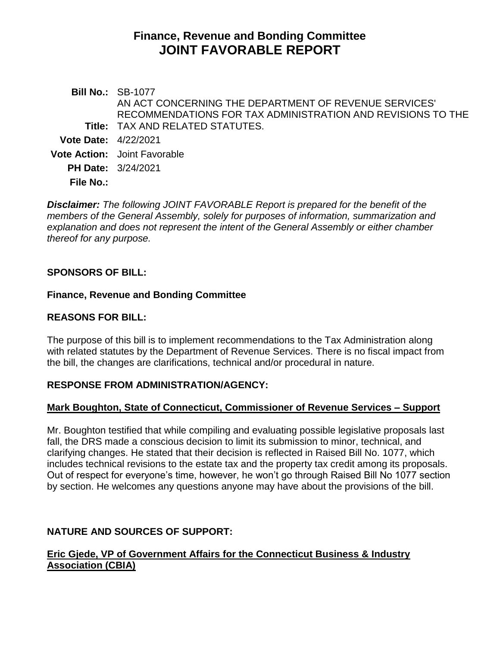# **Finance, Revenue and Bonding Committee JOINT FAVORABLE REPORT**

**Bill No.:** SB-1077 **Title:** TAX AND RELATED STATUTES. AN ACT CONCERNING THE DEPARTMENT OF REVENUE SERVICES' RECOMMENDATIONS FOR TAX ADMINISTRATION AND REVISIONS TO THE **Vote Date:** 4/22/2021 **Vote Action:** Joint Favorable **PH Date:** 3/24/2021 **File No.:**

*Disclaimer: The following JOINT FAVORABLE Report is prepared for the benefit of the members of the General Assembly, solely for purposes of information, summarization and explanation and does not represent the intent of the General Assembly or either chamber thereof for any purpose.*

# **SPONSORS OF BILL:**

## **Finance, Revenue and Bonding Committee**

## **REASONS FOR BILL:**

The purpose of this bill is to implement recommendations to the Tax Administration along with related statutes by the Department of Revenue Services. There is no fiscal impact from the bill, the changes are clarifications, technical and/or procedural in nature.

#### **RESPONSE FROM ADMINISTRATION/AGENCY:**

# **Mark Boughton, State of Connecticut, Commissioner of Revenue Services – Support**

Mr. Boughton testified that while compiling and evaluating possible legislative proposals last fall, the DRS made a conscious decision to limit its submission to minor, technical, and clarifying changes. He stated that their decision is reflected in Raised Bill No. 1077, which includes technical revisions to the estate tax and the property tax credit among its proposals. Out of respect for everyone's time, however, he won't go through Raised Bill No 1077 section by section. He welcomes any questions anyone may have about the provisions of the bill.

# **NATURE AND SOURCES OF SUPPORT:**

## **Eric Gjede, VP of Government Affairs for the Connecticut Business & Industry Association (CBIA)**